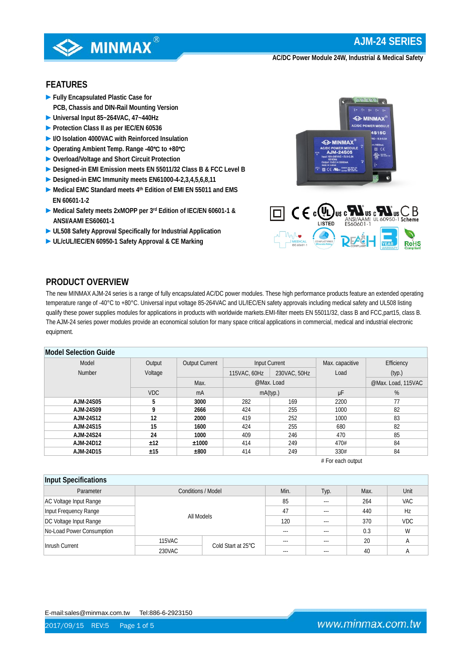

## **FEATURES**

- **►Fully Encapsulated Plastic Case for PCB, Chassis and DIN-Rail Mounting Version**
- **►Universal Input 85~264VAC, 47~440Hz**
- **►Protection Class II as per IEC/EN 60536**
- **►I/O Isolation 4000VAC with Reinforced Insulation**
- **►Operating Ambient Temp. Range -40**℃ **to +80**℃
- **►Overload/Voltage and Short Circuit Protection**
- **►Designed-in EMI Emission meets EN 55011/32 Class B & FCC Level B**
- **►Designed-in EMC Immunity meets EN61000-4-2,3,4,5,6,8,11**
- **►Medical EMC Standard meets 4th Edition of EMI EN 55011 and EMS EN 60601-1-2**
- **►Medical Safety meets 2xMOPP per 3rd Edition of IEC/EN 60601-1 & ANSI/AAMI ES60601-1**
- **►UL508 Safety Approval Specifically for Industrial Application**
- **►UL/cUL/IEC/EN 60950-1 Safety Approval & CE Marking**





## **PRODUCT OVERVIEW**

The new MINMAX AJM-24 series is a range of fully encapsulated AC/DC power modules. These high performance products feature an extended operating temperature range of -40°C to +80°C. Universal input voltage 85-264VAC and UL/IEC/EN safety approvals including medical safety and UL508 listing qualify these power supplies modules for applications in products with worldwide markets.EMI-filter meets EN 55011/32, class B and FCC,part15, class B. The AJM-24 series power modules provide an economical solution for many space critical applications in commercial, medical and industrial electronic equipment.

### **Model Selection Guide**

| Model            | Output     | <b>Output Current</b> | Input Current |              | Max. capacitive | Efficiency         |  |  |
|------------------|------------|-----------------------|---------------|--------------|-----------------|--------------------|--|--|
| <b>Number</b>    | Voltage    |                       | 115VAC, 60Hz  | 230VAC, 50Hz | Load            | (typ.)             |  |  |
|                  |            | Max.                  |               | @Max. Load   |                 | @Max. Load, 115VAC |  |  |
|                  | <b>VDC</b> | mA                    |               | mA(typ.)     | μF              | %                  |  |  |
| AJM-24S05        |            | 3000                  | 282           | 169          | 2200            | 77                 |  |  |
| AJM-24S09        |            | 2666                  | 424           | 255          | 1000            | 82                 |  |  |
| AJM-24S12        | 12         | 2000                  | 419           | 252          | 1000            | 83                 |  |  |
| AJM-24S15        | 15         | 1600                  | 424           | 255          | 680             | 82                 |  |  |
| <b>AJM-24S24</b> | 24         | 1000                  | 409           | 246          | 470             | 85                 |  |  |
| AJM-24D12        | ±12        | ±1000                 | 414           | 249          | 470#            | 84                 |  |  |
| AJM-24D15        | ±15        | ±800                  | 414           | 249          | 330#            | 84                 |  |  |

# For each output

| Input Specifications      |                           |                    |         |         |            |            |  |  |
|---------------------------|---------------------------|--------------------|---------|---------|------------|------------|--|--|
| Parameter                 | <b>Conditions / Model</b> | Min.               | Typ.    | Max.    | Unit       |            |  |  |
| AC Voltage Input Range    |                           |                    | 85      | $---$   | 264        | <b>VAC</b> |  |  |
| Input Frequency Range     |                           |                    | 47      | $- - -$ | 440        | Hz         |  |  |
| DC Voltage Input Range    | All Models                | 120                | $- - -$ | 370     | <b>VDC</b> |            |  |  |
| No-Load Power Consumption |                           |                    | $---$   | $- - -$ | 0.3        | W          |  |  |
|                           | 115VAC                    | Cold Start at 25°C | $---$   | $- - -$ | 20         |            |  |  |
| Inrush Current            | 230VAC                    |                    | ---     |         | 40         |            |  |  |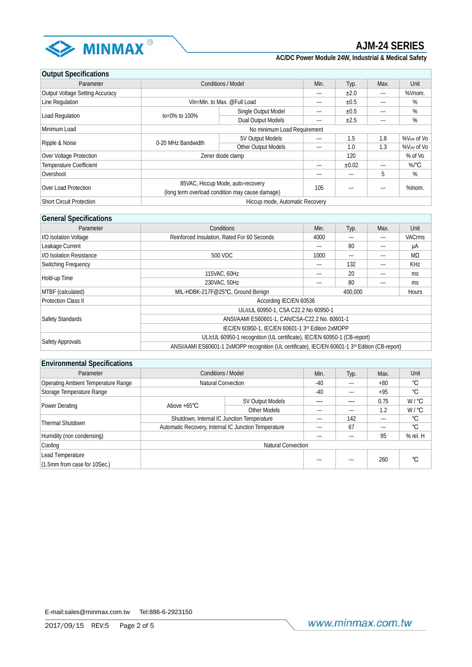

## **Output Specifications**

| 00.000.000.000.000                     |                                                 |                                 |      |            |       |                        |
|----------------------------------------|-------------------------------------------------|---------------------------------|------|------------|-------|------------------------|
| Parameter                              | <b>Conditions / Model</b>                       | Min.                            | Typ. | Max.       | Unit  |                        |
| <b>Output Voltage Setting Accuracy</b> |                                                 |                                 | ---  | ±2.0       | $---$ | %Vnom.                 |
| Line Regulation                        |                                                 | Vin=Min. to Max. @Full Load     | ---  | ±0.5       | $---$ | %                      |
|                                        | $Io = 0\%$ to 100%                              | Single Output Model             | ---  | ±0.5       | $---$ | %                      |
| Load Regulation                        |                                                 | Dual Output Models              | ---  | ±2.5       | $---$ | %                      |
| Minimum Load                           | No minimum Load Requirement                     |                                 |      |            |       |                        |
|                                        | 0-20 MHz Bandwidth                              | 5V Output Models                | ---  | 1.5        | 1.8   | %V <sub>PP</sub> of Vo |
| Ripple & Noise                         | Other Output Models                             |                                 | ---  | 1.0        | 1.3   | %V <sub>PP</sub> of Vo |
| Over Voltage Protection                |                                                 | Zener diode clamp               |      |            |       | % of Vo                |
| <b>Temperature Coefficient</b>         |                                                 |                                 | ---  | $\pm 0.02$ | $---$ | $%$ <sup>°</sup> C     |
| Overshoot                              |                                                 |                                 | ---  | $- - -$    | 5     | %                      |
|                                        | 85VAC, Hiccup Mode, auto-recovery               |                                 |      |            |       |                        |
| Over Load Protection                   | (long term overload condition may cause damage) |                                 | 105  | $---$      | $---$ | %Inom.                 |
| <b>Short Circuit Protection</b>        |                                                 | Hiccup mode, Automatic Recovery |      |            |       |                        |

## **General Specifications**

| <b>POLICIAL OPCOLLIGATION</b>   |                                                                                                 |                  |          |       |               |  |  |
|---------------------------------|-------------------------------------------------------------------------------------------------|------------------|----------|-------|---------------|--|--|
| Parameter                       | Conditions                                                                                      | Min.             | Typ.     | Max.  | Unit          |  |  |
| <b>I/O Isolation Voltage</b>    | Reinforced Insulation, Rated For 60 Seconds                                                     | 4000             | $\cdots$ | $---$ | <b>VACrms</b> |  |  |
| Leakage Current                 |                                                                                                 | ---              | 80       | $---$ | μA            |  |  |
| <b>I/O Isolation Resistance</b> | 500 VDC                                                                                         | 1000             | $---$    | $---$ | MΩ            |  |  |
| Switching Frequency             |                                                                                                 | ---              | 132      | $---$ | <b>KHz</b>    |  |  |
|                                 | 115VAC, 60Hz                                                                                    |                  | 20       | $---$ | ms            |  |  |
| Hold-up Time                    | 230VAC, 50Hz                                                                                    |                  | 80       | $---$ | ms.           |  |  |
| MTBF (calculated)               | MIL-HDBK-217F@25°C, Ground Benign                                                               | 400.000<br>Hours |          |       |               |  |  |
| <b>Protection Class II</b>      | According IEC/EN 60536                                                                          |                  |          |       |               |  |  |
|                                 | UL/cUL 60950-1, CSA C22.2 No 60950-1                                                            |                  |          |       |               |  |  |
| Safety Standards                | ANSI/AAMI ES60601-1, CAN/CSA-C22.2 No. 60601-1                                                  |                  |          |       |               |  |  |
|                                 | IEC/EN 60950-1, IEC/EN 60601-1 3rd Edition 2xMOPP                                               |                  |          |       |               |  |  |
|                                 | UL/cUL 60950-1 recognition (UL certificate), IEC/EN 60950-1 (CB-report)                         |                  |          |       |               |  |  |
| Safety Approvals                | ANSI/AAMI ES60601-1 2xMOPP recognition (UL certificate), IEC/EN 60601-1 3rd Edition (CB-report) |                  |          |       |               |  |  |

| <b>Environmental Specifications</b> |                                                      |                  |         |       |       |                   |
|-------------------------------------|------------------------------------------------------|------------------|---------|-------|-------|-------------------|
| Parameter                           | <b>Conditions / Model</b>                            |                  | Min.    | Typ.  | Max.  | Unit              |
| Operating Ambient Temperature Range | Natural Convection                                   |                  | $-40$   | $---$ | $+80$ | °C                |
| Storage Temperature Range           |                                                      |                  | $-40$   | $---$ | $+95$ | °C                |
|                                     | Above $+65^{\circ}$ C                                | 5V Output Models | ---     | ---   | 0.75  | $W / {}^{\circ}C$ |
| Power Derating                      |                                                      | Other Models     | $---$   | $---$ | 1.2   | $W / {}^{\circ}C$ |
| <b>Thermal Shutdown</b>             | Shutdown, Internal IC Junction Temperature           | $---$            | 142     | $---$ | °C    |                   |
|                                     | Automatic Recovery, Internal IC Junction Temperature | $---$            | 67      | ---   | °C    |                   |
| Humidity (non condensing)           |                                                      |                  | $---$   | $---$ | 95    | % rel. H          |
| Cooling                             | <b>Natural Convection</b>                            |                  |         |       |       |                   |
| Lead Temperature                    |                                                      |                  |         |       |       |                   |
| (1.5mm from case for 10Sec.)        |                                                      |                  | $- - -$ | $---$ | 260   | °C                |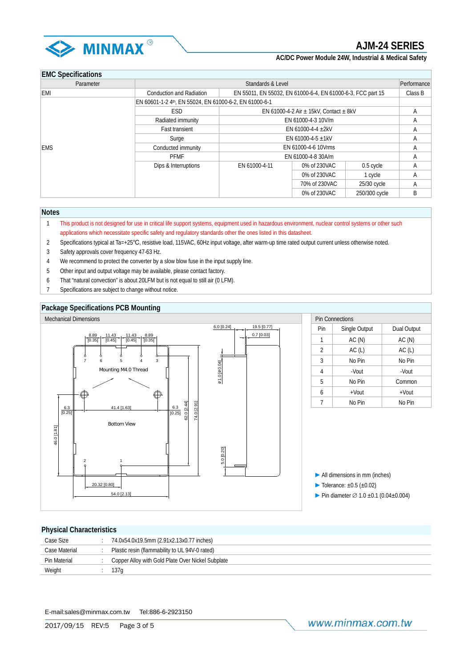

## **EMC Specifications**

| Parameter  | Standards & Level<br>Performance                             |                                                             |               |               |   |  |
|------------|--------------------------------------------------------------|-------------------------------------------------------------|---------------|---------------|---|--|
| <b>EMI</b> | Conduction and Radiation                                     | EN 55011, EN 55032, EN 61000-6-4, EN 61000-6-3, FCC part 15 |               |               |   |  |
|            | EN 60601-1-2 4th, EN 55024, EN 61000-6-2, EN 61000-6-1       |                                                             |               |               |   |  |
|            | <b>ESD</b><br>EN 61000-4-2 Air $\pm$ 15kV, Contact $\pm$ 8kV |                                                             |               |               | A |  |
|            | EN 61000-4-3 10V/m<br>Radiated immunity                      |                                                             |               |               | A |  |
|            | <b>Fast transient</b>                                        | EN 61000-4-4 $\pm$ 2kV                                      |               |               | A |  |
|            | Surge                                                        | EN 61000-4-5 $\pm$ 1kV                                      |               |               | A |  |
| <b>EMS</b> | EN 61000-4-6 10Vrms<br>Conducted immunity                    |                                                             |               |               | Α |  |
|            | <b>PFMF</b>                                                  | EN 61000-4-8 30A/m                                          | A             |               |   |  |
|            | Dips & Interruptions                                         | EN 61000-4-11                                               | 0% of 230VAC  | 0.5 cycle     | A |  |
|            |                                                              |                                                             | 0% of 230VAC  | 1 cycle       | Α |  |
|            |                                                              |                                                             | 70% of 230VAC | 25/30 cycle   | Α |  |
|            |                                                              |                                                             | 0% of 230VAC  | 250/300 cycle | B |  |

#### **Notes**

- 1 This product is not designed for use in critical life support systems, equipment used in hazardous environment, nuclear control systems or other such applications which necessitate specific safety and regulatory standards other the ones listed in this datasheet.
- 2 Specifications typical at Ta=+25℃, resistive load, 115VAC, 60Hz input voltage, after warm-up time rated output current unless otherwise noted.
- 3 Safety approvals cover frequency 47-63 Hz.
- 4 We recommend to protect the converter by a slow blow fuse in the input supply line.
- 5 Other input and output voltage may be available, please contact factory.
- 6 That "natural convection" is about 20LFM but is not equal to still air (0 LFM).
- 7 Specifications are subject to change without notice.

#### **Package Specifications PCB Mounting**



### **Physical Characteristics**

| . 1.1               |                                                   |
|---------------------|---------------------------------------------------|
| Case Size           | 74.0x54.0x19.5mm (2.91x2.13x0.77 inches)          |
| Case Material       | Plastic resin (flammability to UL 94V-0 rated)    |
| <b>Pin Material</b> | Copper Alloy with Gold Plate Over Nickel Subplate |
| Weight              | 137a                                              |

E-mail:sales@minmax.com.tw Tel:886-6-2923150

www.minmax.com.tw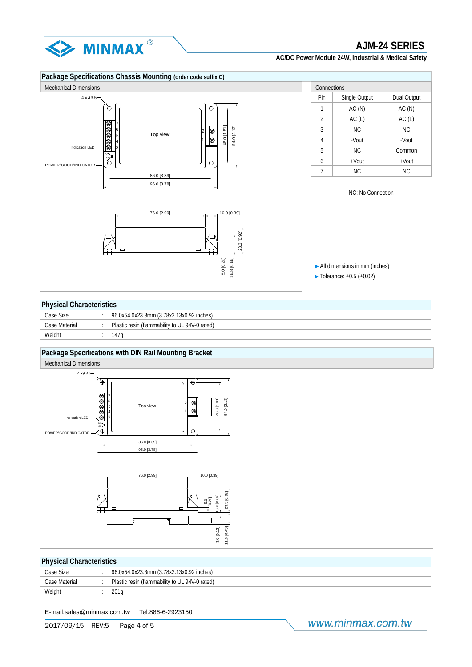



#### **Physical Characteristics**

| Case Size     | 96.0x54.0x23.3mm (3.78x2.13x0.92 inches)       |
|---------------|------------------------------------------------|
| Case Material | Plastic resin (flammability to UL 94V-0 rated) |
| Weight        | 147a                                           |

### **Package Specifications with DIN Rail Mounting Bracket**



## **Physical Characteristics**

| Case Size     | 96.0x54.0x23.3mm (3.78x2.13x0.92 inches)       |
|---------------|------------------------------------------------|
| Case Material | Plastic resin (flammability to UL 94V-0 rated) |
| Weight        |                                                |

E-mail:sales@minmax.com.tw Tel:886-6-2923150

2017/09/15 REV:5 Page 4 of 5

www.minmax.com.tw